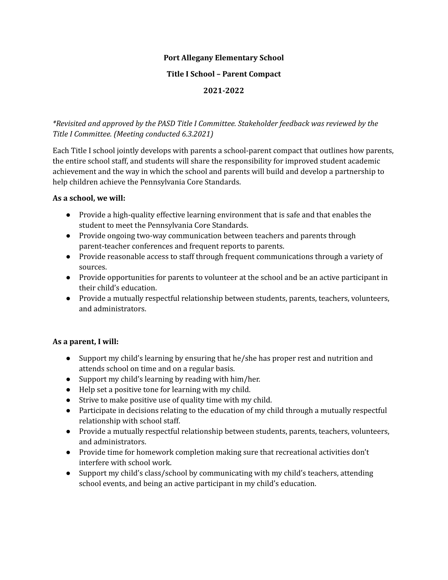## **Port Allegany Elementary School**

### **Title I School – Parent Compact**

## **2021-2022**

## *\*Revisited and approved by the PASD Title I Committee. Stakeholder feedback was reviewed by the Title I Committee. (Meeting conducted 6.3.2021)*

Each Title I school jointly develops with parents a school-parent compact that outlines how parents, the entire school staff, and students will share the responsibility for improved student academic achievement and the way in which the school and parents will build and develop a partnership to help children achieve the Pennsylvania Core Standards.

### **As a school, we will:**

- Provide a high-quality effective learning environment that is safe and that enables the student to meet the Pennsylvania Core Standards.
- Provide ongoing two-way communication between teachers and parents through parent-teacher conferences and frequent reports to parents.
- Provide reasonable access to staff through frequent communications through a variety of sources.
- Provide opportunities for parents to volunteer at the school and be an active participant in their child's education.
- Provide a mutually respectful relationship between students, parents, teachers, volunteers, and administrators.

## **As a parent, I will:**

- Support my child's learning by ensuring that he/she has proper rest and nutrition and attends school on time and on a regular basis.
- Support my child's learning by reading with him/her.
- Help set a positive tone for learning with my child.
- Strive to make positive use of quality time with my child.
- Participate in decisions relating to the education of my child through a mutually respectful relationship with school staff.
- Provide a mutually respectful relationship between students, parents, teachers, volunteers, and administrators.
- Provide time for homework completion making sure that recreational activities don't interfere with school work.
- Support my child's class/school by communicating with my child's teachers, attending school events, and being an active participant in my child's education.